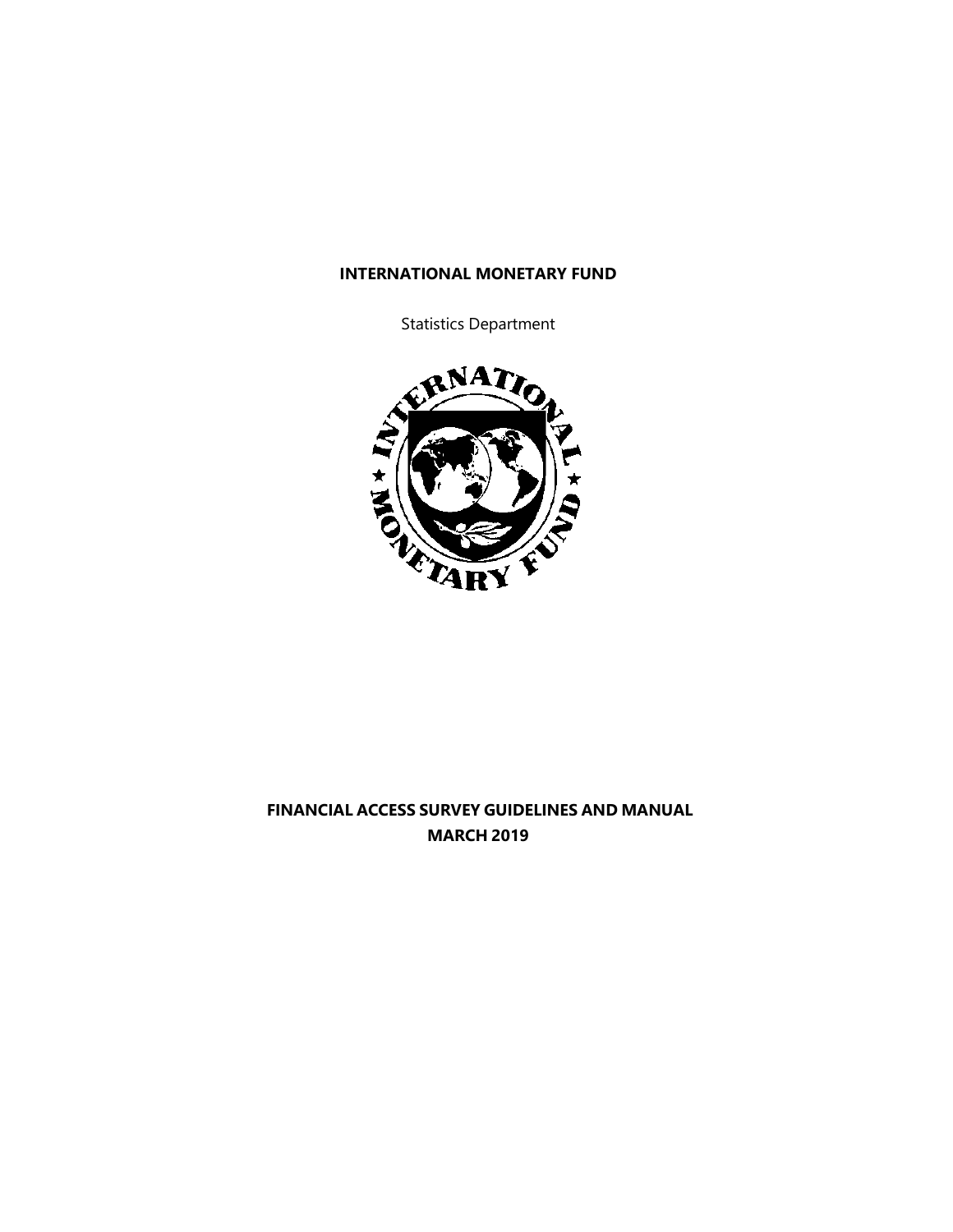### **INTERNATIONAL MONETARY FUND**

Statistics Department



# **FINANCIAL ACCESS SURVEY GUIDELINES AND MANUAL MARCH 2019**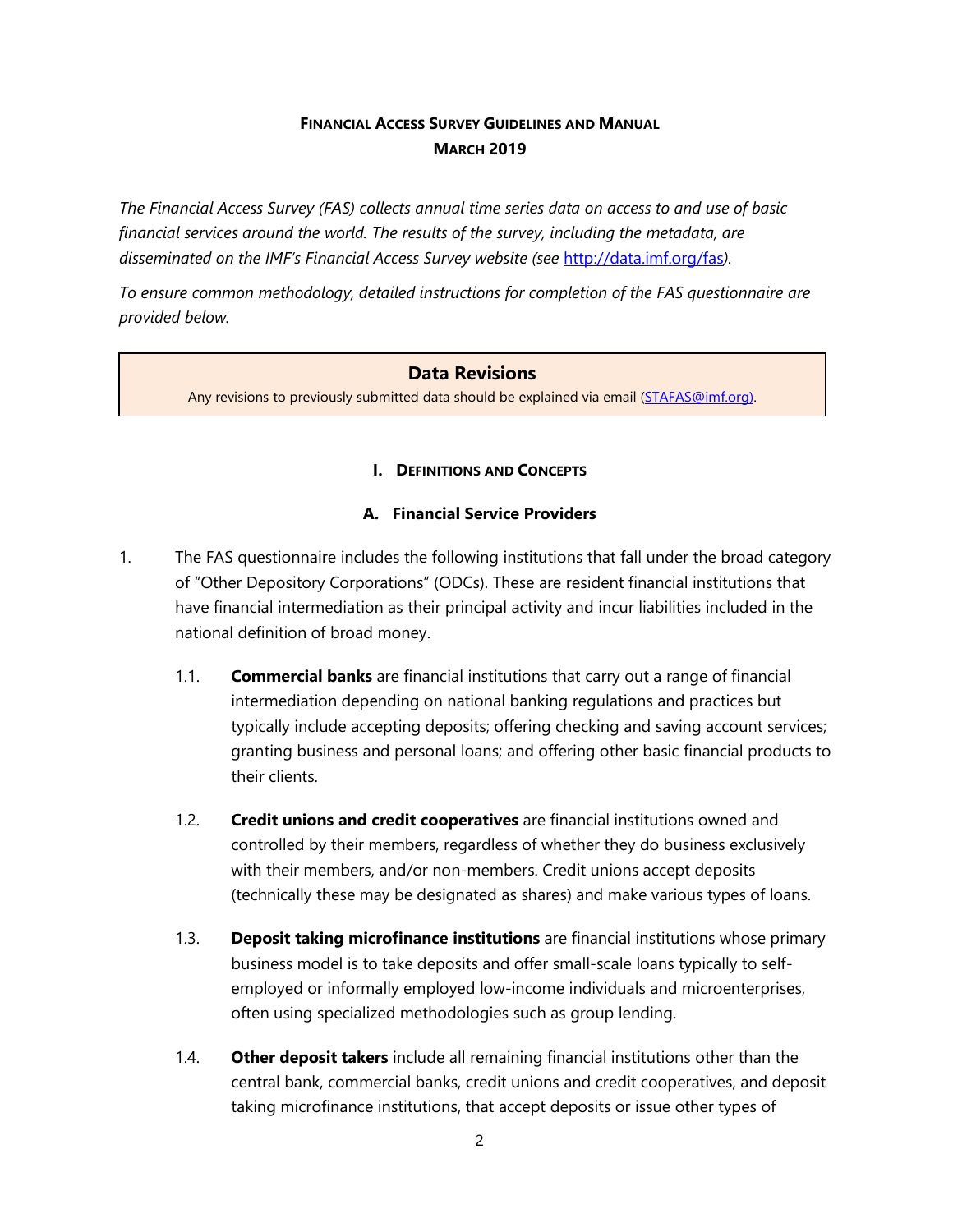# **FINANCIAL ACCESS SURVEY GUIDELINES AND MANUAL MARCH 2019**

*The Financial Access Survey (FAS) collects annual time series data on access to and use of basic financial services around the world. The results of the survey, including the metadata, are disseminated on the IMF's Financial Access Survey website (see* <http://data.imf.org/fas>*).*

*To ensure common methodology, detailed instructions for completion of the FAS questionnaire are provided below.*

## **Data Revisions**

Any revisions to previously submitted data should be explained via email [\(STAFAS@imf.org\)](mailto:STAFAS@imf.org).

### **I. DEFINITIONS AND CONCEPTS**

### **A. Financial Service Providers**

- 1. The FAS questionnaire includes the following institutions that fall under the broad category of "Other Depository Corporations" (ODCs). These are resident financial institutions that have financial intermediation as their principal activity and incur liabilities included in the national definition of broad money.
	- 1.1. **Commercial banks** are financial institutions that carry out a range of financial intermediation depending on national banking regulations and practices but typically include accepting deposits; offering checking and saving account services; granting business and personal loans; and offering other basic financial products to their clients.
	- 1.2. **Credit unions and credit cooperatives** are financial institutions owned and controlled by their members, regardless of whether they do business exclusively with their members, and/or non-members. Credit unions accept deposits (technically these may be designated as shares) and make various types of loans.
	- 1.3. **Deposit taking microfinance institutions** are financial institutions whose primary business model is to take deposits and offer small-scale loans typically to selfemployed or informally employed low-income individuals and microenterprises, often using specialized methodologies such as group lending.
	- 1.4. **Other deposit takers** include all remaining financial institutions other than the central bank, commercial banks, credit unions and credit cooperatives, and deposit taking microfinance institutions, that accept deposits or issue other types of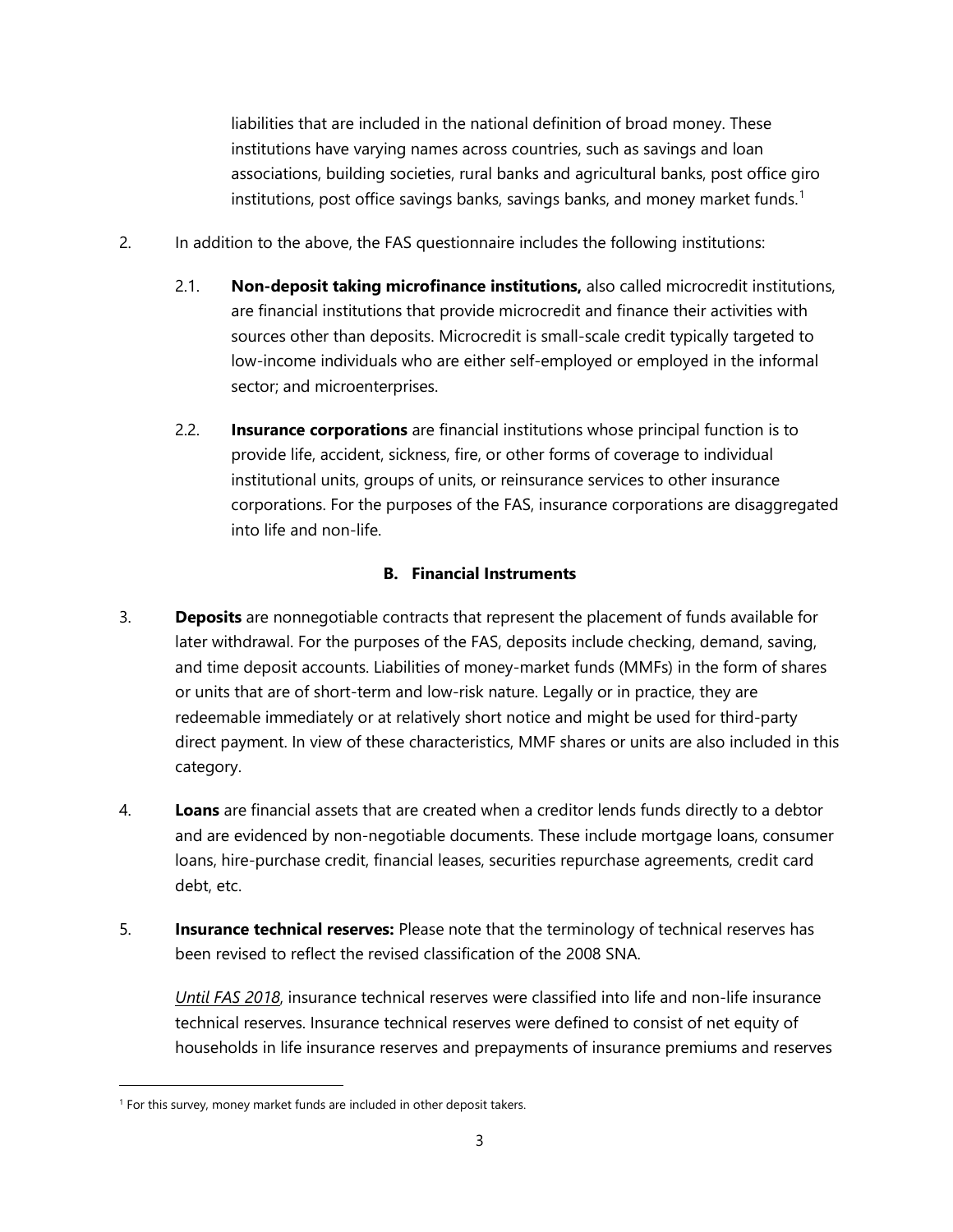liabilities that are included in the national definition of broad money. These institutions have varying names across countries, such as savings and loan associations, building societies, rural banks and agricultural banks, post office giro institutions, post office savings banks, savings banks, and money market funds. $^1$  $^1$ 

- 2. In addition to the above, the FAS questionnaire includes the following institutions:
	- 2.1. **Non-deposit taking microfinance institutions,** also called microcredit institutions, are financial institutions that provide microcredit and finance their activities with sources other than deposits. Microcredit is small-scale credit typically targeted to low-income individuals who are either self-employed or employed in the informal sector; and microenterprises.
	- 2.2. **Insurance corporations** are financial institutions whose principal function is to provide life, accident, sickness, fire, or other forms of coverage to individual institutional units, groups of units, or reinsurance services to other insurance corporations. For the purposes of the FAS, insurance corporations are disaggregated into life and non-life.

## **B. Financial Instruments**

- 3. **Deposits** are nonnegotiable contracts that represent the placement of funds available for later withdrawal. For the purposes of the FAS, deposits include checking, demand, saving, and time deposit accounts. Liabilities of money-market funds (MMFs) in the form of shares or units that are of short-term and low-risk nature. Legally or in practice, they are redeemable immediately or at relatively short notice and might be used for third-party direct payment. In view of these characteristics, MMF shares or units are also included in this category.
- 4. **Loans** are financial assets that are created when a creditor lends funds directly to a debtor and are evidenced by non-negotiable documents. These include mortgage loans, consumer loans, hire-purchase credit, financial leases, securities repurchase agreements, credit card debt, etc.
- 5. **Insurance technical reserves:** Please note that the terminology of technical reserves has been revised to reflect the revised classification of the 2008 SNA.

*Until FAS 2018*, insurance technical reserves were classified into life and non-life insurance technical reserves. Insurance technical reserves were defined to consist of net equity of households in life insurance reserves and prepayments of insurance premiums and reserves

 $\overline{a}$ 

<span id="page-2-0"></span><sup>&</sup>lt;sup>1</sup> For this survey, money market funds are included in other deposit takers.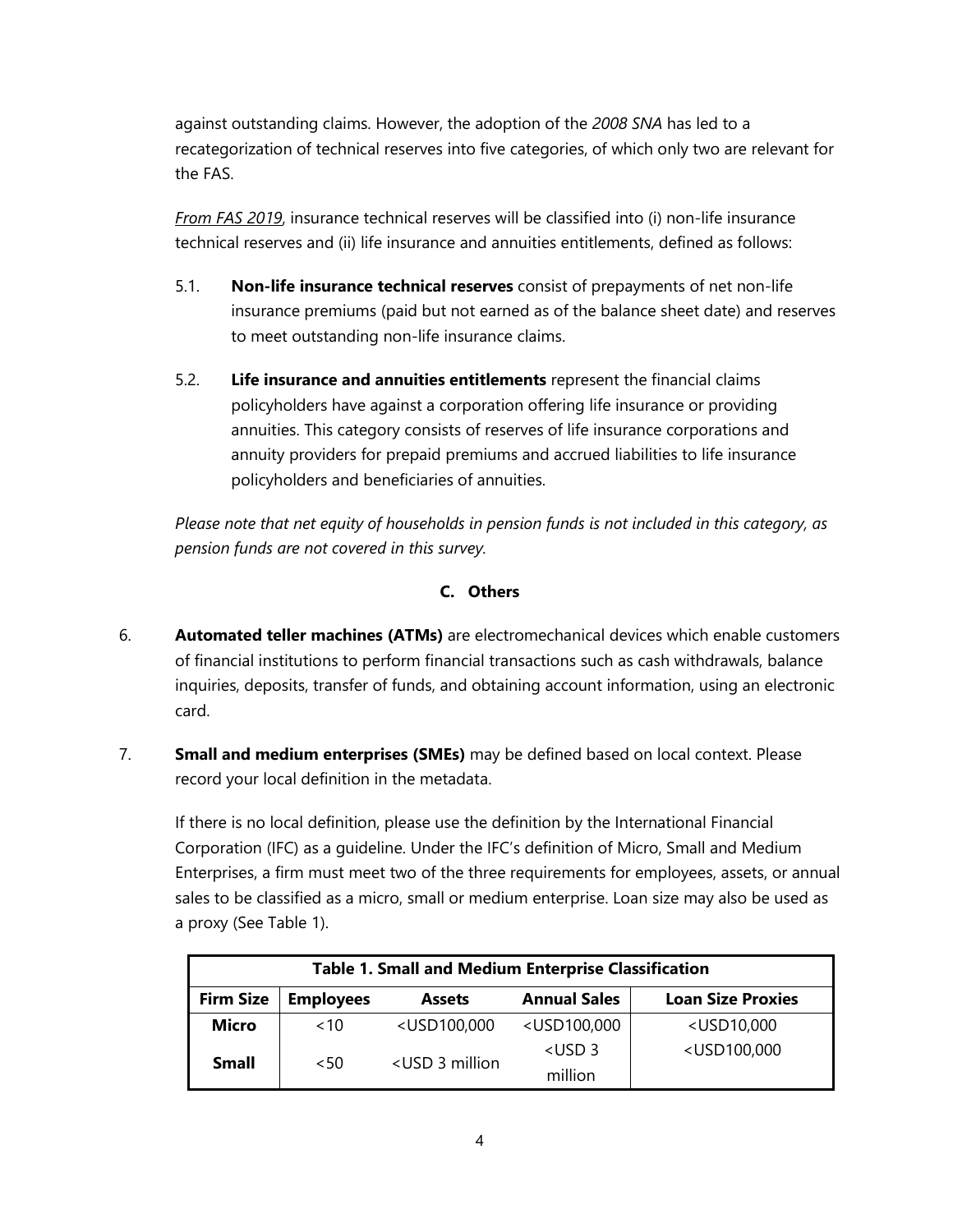against outstanding claims. However, the adoption of the *2008 SNA* has led to a recategorization of technical reserves into five categories, of which only two are relevant for the FAS.

*From FAS 2019*, insurance technical reserves will be classified into (i) non-life insurance technical reserves and (ii) life insurance and annuities entitlements, defined as follows:

- 5.1. **Non-life insurance technical reserves** consist of prepayments of net non-life insurance premiums (paid but not earned as of the balance sheet date) and reserves to meet outstanding non-life insurance claims.
- 5.2. **Life insurance and annuities entitlements** represent the financial claims policyholders have against a corporation offering life insurance or providing annuities. This category consists of reserves of life insurance corporations and annuity providers for prepaid premiums and accrued liabilities to life insurance policyholders and beneficiaries of annuities.

*Please note that net equity of households in pension funds is not included in this category, as pension funds are not covered in this survey.*

# **C. Others**

- 6. **Automated teller machines (ATMs)** are electromechanical devices which enable customers of financial institutions to perform financial transactions such as cash withdrawals, balance inquiries, deposits, transfer of funds, and obtaining account information, using an electronic card.
- 7. **Small and medium enterprises (SMEs)** may be defined based on local context. Please record your local definition in the metadata.

If there is no local definition, please use the definition by the International Financial Corporation (IFC) as a guideline. Under the IFC's definition of Micro, Small and Medium Enterprises, a firm must meet two of the three requirements for employees, assets, or annual sales to be classified as a micro, small or medium enterprise. Loan size may also be used as a proxy (See Table 1).

| <b>Table 1. Small and Medium Enterprise Classification</b> |                  |                                                                                                                     |                                                                           |                                   |  |  |  |
|------------------------------------------------------------|------------------|---------------------------------------------------------------------------------------------------------------------|---------------------------------------------------------------------------|-----------------------------------|--|--|--|
| <b>Firm Size</b>                                           | <b>Employees</b> | <b>Assets</b>                                                                                                       | <b>Annual Sales</b>                                                       | <b>Loan Size Proxies</b>          |  |  |  |
| <b>Micro</b>                                               | ~10              | <usd100,000< th=""><th><usd100,000< th=""><th><usd10,000< th=""></usd10,000<></th></usd100,000<></th></usd100,000<> | <usd100,000< th=""><th><usd10,000< th=""></usd10,000<></th></usd100,000<> | <usd10,000< th=""></usd10,000<>   |  |  |  |
| <b>Small</b>                                               |                  | <usd 3="" million<="" th=""><th><math>&lt;</math>USD 3</th><th><usd100,000< th=""></usd100,000<></th></usd>         | $<$ USD 3                                                                 | <usd100,000< th=""></usd100,000<> |  |  |  |
|                                                            | < 50             |                                                                                                                     | million                                                                   |                                   |  |  |  |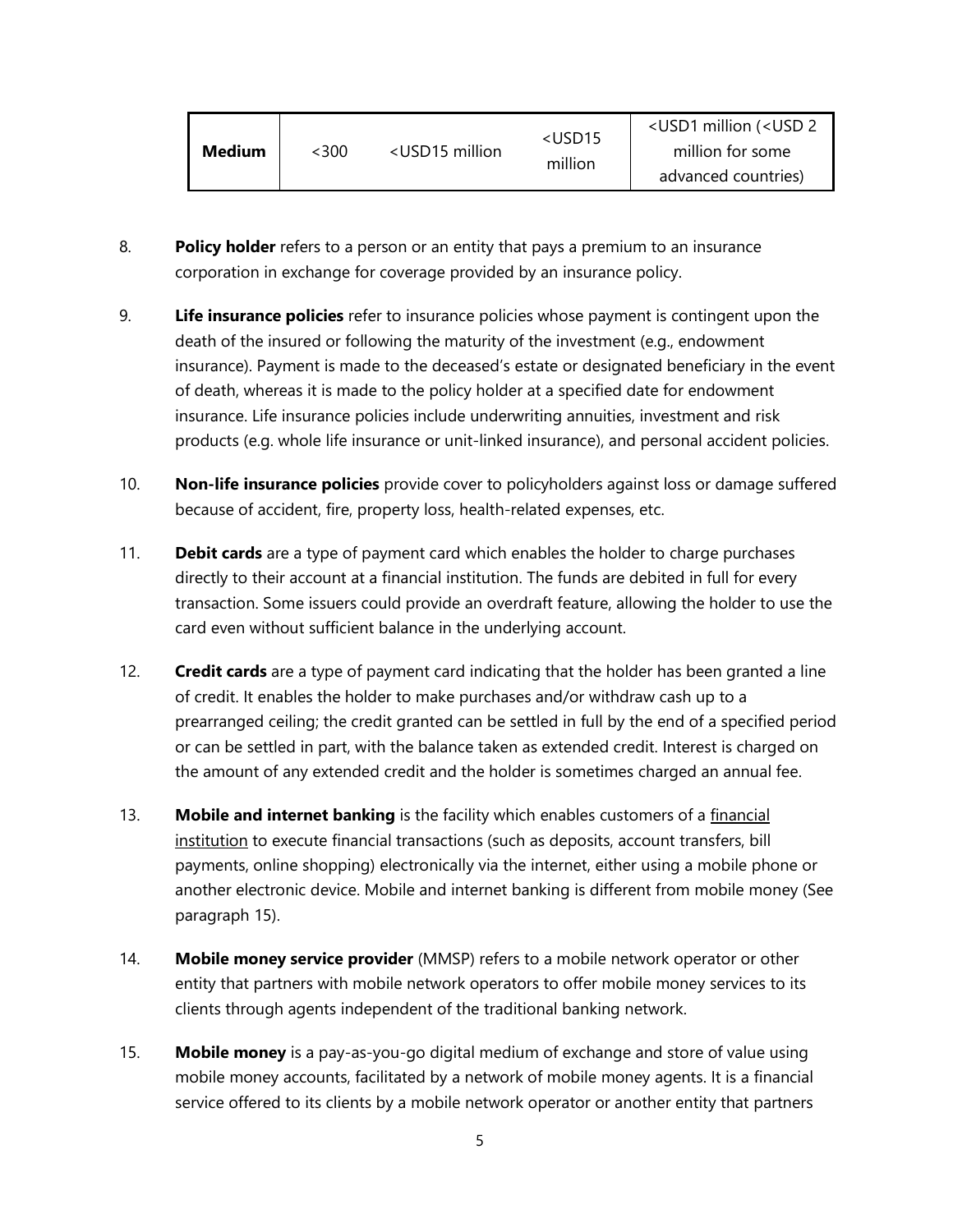| <b>Medium</b> | <300 | <usd15 million<="" th=""><th><usd15<br>million</usd15<br></th><th><usd1 (<usd="" 2<br="" million="">million for some<br/>advanced countries)</usd1></th></usd15> | <usd15<br>million</usd15<br> | <usd1 (<usd="" 2<br="" million="">million for some<br/>advanced countries)</usd1> |
|---------------|------|------------------------------------------------------------------------------------------------------------------------------------------------------------------|------------------------------|-----------------------------------------------------------------------------------|
|---------------|------|------------------------------------------------------------------------------------------------------------------------------------------------------------------|------------------------------|-----------------------------------------------------------------------------------|

- 8. **Policy holder** refers to a person or an entity that pays a premium to an insurance corporation in exchange for coverage provided by an insurance policy.
- 9. **Life insurance policies** refer to insurance policies whose payment is contingent upon the death of the insured or following the maturity of the investment (e.g., endowment insurance). Payment is made to the deceased's estate or designated beneficiary in the event of death, whereas it is made to the policy holder at a specified date for endowment insurance. Life insurance policies include underwriting annuities, investment and risk products (e.g. whole life insurance or unit-linked insurance), and personal accident policies.
- 10. **Non-life insurance policies** provide cover to policyholders against loss or damage suffered because of accident, fire, property loss, health-related expenses, etc.
- 11. **Debit cards** are a type of payment card which enables the holder to charge purchases directly to their account at a financial institution. The funds are debited in full for every transaction. Some issuers could provide an overdraft feature, allowing the holder to use the card even without sufficient balance in the underlying account.
- 12. **Credit cards** are a type of payment card indicating that the holder has been granted a line of credit. It enables the holder to make purchases and/or withdraw cash up to a prearranged ceiling; the credit granted can be settled in full by the end of a specified period or can be settled in part, with the balance taken as extended credit. Interest is charged on the amount of any extended credit and the holder is sometimes charged an annual fee.
- 13. **Mobile and internet banking** is the facility which enables customers of a financial institution to execute financial transactions (such as deposits, account transfers, bill payments, online shopping) electronically via the internet, either using a mobile phone or another electronic device. Mobile and internet banking is different from mobile money (See paragraph 15).
- 14. **Mobile money service provider** (MMSP) refers to a mobile network operator or other entity that partners with mobile network operators to offer mobile money services to its clients through agents independent of the traditional banking network.
- 15. **Mobile money** is a pay-as-you-go digital medium of exchange and store of value using mobile money accounts, facilitated by a network of mobile money agents. It is a financial service offered to its clients by a mobile network operator or another entity that partners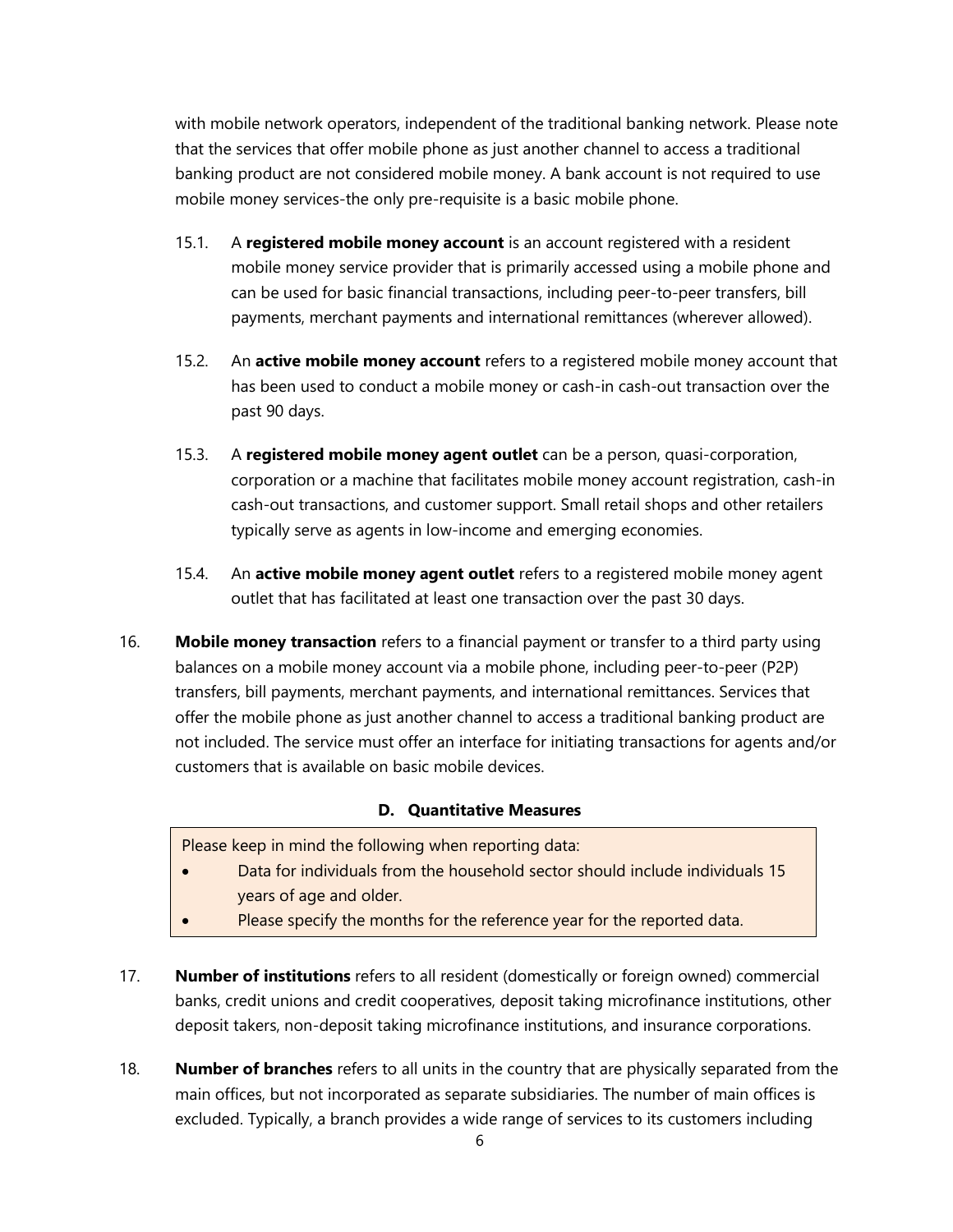with mobile network operators, independent of the traditional banking network. Please note that the services that offer mobile phone as just another channel to access a traditional banking product are not considered mobile money. A bank account is not required to use mobile money services-the only pre-requisite is a basic mobile phone.

- 15.1. A **registered mobile money account** is an account registered with a resident mobile money service provider that is primarily accessed using a mobile phone and can be used for basic financial transactions, including peer-to-peer transfers, bill payments, merchant payments and international remittances (wherever allowed).
- 15.2. An **active mobile money account** refers to a registered mobile money account that has been used to conduct a mobile money or cash-in cash-out transaction over the past 90 days.
- 15.3. A **registered mobile money agent outlet** can be a person, quasi-corporation, corporation or a machine that facilitates mobile money account registration, cash-in cash-out transactions, and customer support. Small retail shops and other retailers typically serve as agents in low-income and emerging economies.
- 15.4. An **active mobile money agent outlet** refers to a registered mobile money agent outlet that has facilitated at least one transaction over the past 30 days.
- 16. **Mobile money transaction** refers to a financial payment or transfer to a third party using balances on a mobile money account via a mobile phone, including peer-to-peer (P2P) transfers, bill payments, merchant payments, and international remittances. Services that offer the mobile phone as just another channel to access a traditional banking product are not included. The service must offer an interface for initiating transactions for agents and/or customers that is available on basic mobile devices.

#### **D. Quantitative Measures**

Please keep in mind the following when reporting data:

- Data for individuals from the household sector should include individuals 15 years of age and older.
- Please specify the months for the reference year for the reported data.
- 17. **Number of institutions** refers to all resident (domestically or foreign owned) commercial banks, credit unions and credit cooperatives, deposit taking microfinance institutions, other deposit takers, non-deposit taking microfinance institutions, and insurance corporations.
- 18. **Number of branches** refers to all units in the country that are physically separated from the main offices, but not incorporated as separate subsidiaries. The number of main offices is excluded. Typically, a branch provides a wide range of services to its customers including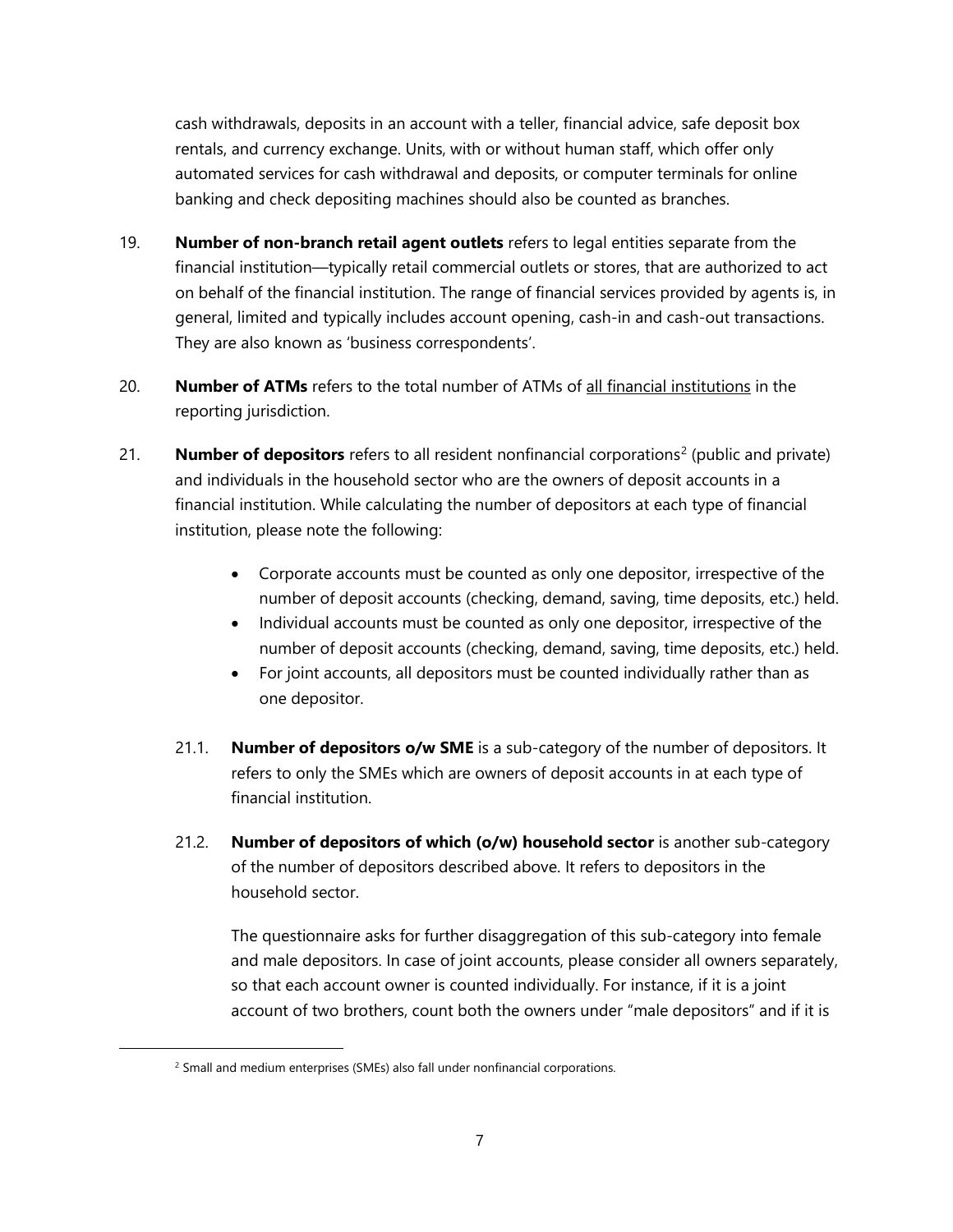cash withdrawals, deposits in an account with a teller, financial advice, safe deposit box rentals, and currency exchange. Units, with or without human staff, which offer only automated services for cash withdrawal and deposits, or computer terminals for online banking and check depositing machines should also be counted as branches.

- 19. **Number of non-branch retail agent outlets** refers to legal entities separate from the financial institution—typically retail commercial outlets or stores, that are authorized to act on behalf of the financial institution. The range of financial services provided by agents is, in general, limited and typically includes account opening, cash-in and cash-out transactions. They are also known as 'business correspondents'.
- 20. **Number of ATMs** refers to the total number of ATMs of all financial institutions in the reporting jurisdiction.
- [2](#page-6-0)1. **Number of depositors** refers to all resident nonfinancial corporations<sup>2</sup> (public and private) and individuals in the household sector who are the owners of deposit accounts in a financial institution. While calculating the number of depositors at each type of financial institution, please note the following:
	- Corporate accounts must be counted as only one depositor, irrespective of the number of deposit accounts (checking, demand, saving, time deposits, etc.) held.
	- Individual accounts must be counted as only one depositor, irrespective of the number of deposit accounts (checking, demand, saving, time deposits, etc.) held.
	- For joint accounts, all depositors must be counted individually rather than as one depositor.
	- 21.1. **Number of depositors o/w SME** is a sub-category of the number of depositors. It refers to only the SMEs which are owners of deposit accounts in at each type of financial institution.
	- 21.2. **Number of depositors of which (o/w) household sector** is another sub-category of the number of depositors described above. It refers to depositors in the household sector.

The questionnaire asks for further disaggregation of this sub-category into female and male depositors. In case of joint accounts, please consider all owners separately, so that each account owner is counted individually. For instance, if it is a joint account of two brothers, count both the owners under "male depositors" and if it is

<span id="page-6-0"></span> $\overline{a}$ 

<sup>&</sup>lt;sup>2</sup> Small and medium enterprises (SMEs) also fall under nonfinancial corporations.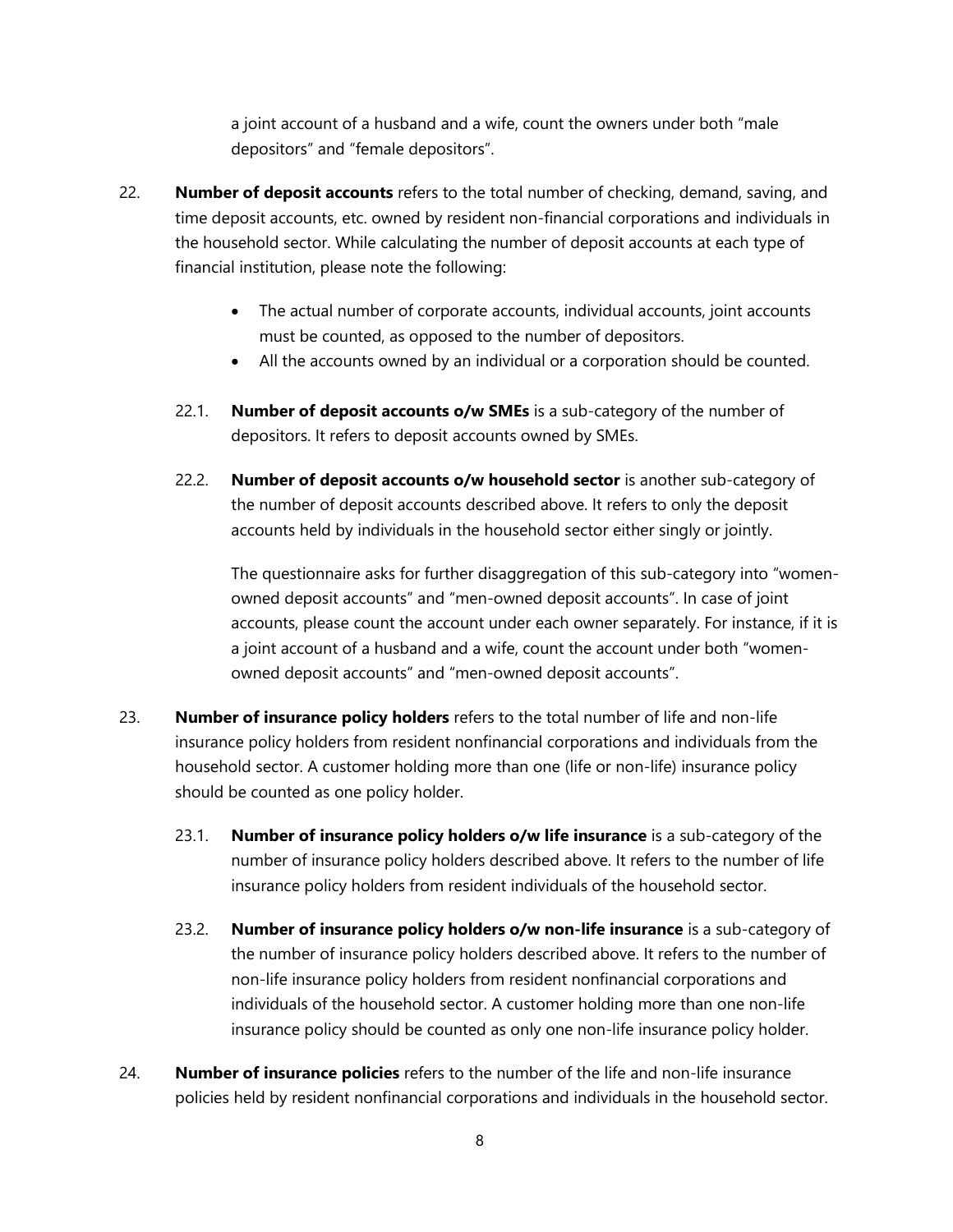a joint account of a husband and a wife, count the owners under both "male depositors" and "female depositors".

- 22. **Number of deposit accounts** refers to the total number of checking, demand, saving, and time deposit accounts, etc. owned by resident non-financial corporations and individuals in the household sector. While calculating the number of deposit accounts at each type of financial institution, please note the following:
	- The actual number of corporate accounts, individual accounts, joint accounts must be counted, as opposed to the number of depositors.
	- All the accounts owned by an individual or a corporation should be counted.
	- 22.1. **Number of deposit accounts o/w SMEs** is a sub-category of the number of depositors. It refers to deposit accounts owned by SMEs.
	- 22.2. **Number of deposit accounts o/w household sector** is another sub-category of the number of deposit accounts described above. It refers to only the deposit accounts held by individuals in the household sector either singly or jointly.

The questionnaire asks for further disaggregation of this sub-category into "womenowned deposit accounts" and "men-owned deposit accounts". In case of joint accounts, please count the account under each owner separately. For instance, if it is a joint account of a husband and a wife, count the account under both "womenowned deposit accounts" and "men-owned deposit accounts".

- 23. **Number of insurance policy holders** refers to the total number of life and non-life insurance policy holders from resident nonfinancial corporations and individuals from the household sector. A customer holding more than one (life or non-life) insurance policy should be counted as one policy holder.
	- 23.1. **Number of insurance policy holders o/w life insurance** is a sub-category of the number of insurance policy holders described above. It refers to the number of life insurance policy holders from resident individuals of the household sector.
	- 23.2. **Number of insurance policy holders o/w non-life insurance** is a sub-category of the number of insurance policy holders described above. It refers to the number of non-life insurance policy holders from resident nonfinancial corporations and individuals of the household sector. A customer holding more than one non-life insurance policy should be counted as only one non-life insurance policy holder.
- 24. **Number of insurance policies** refers to the number of the life and non-life insurance policies held by resident nonfinancial corporations and individuals in the household sector.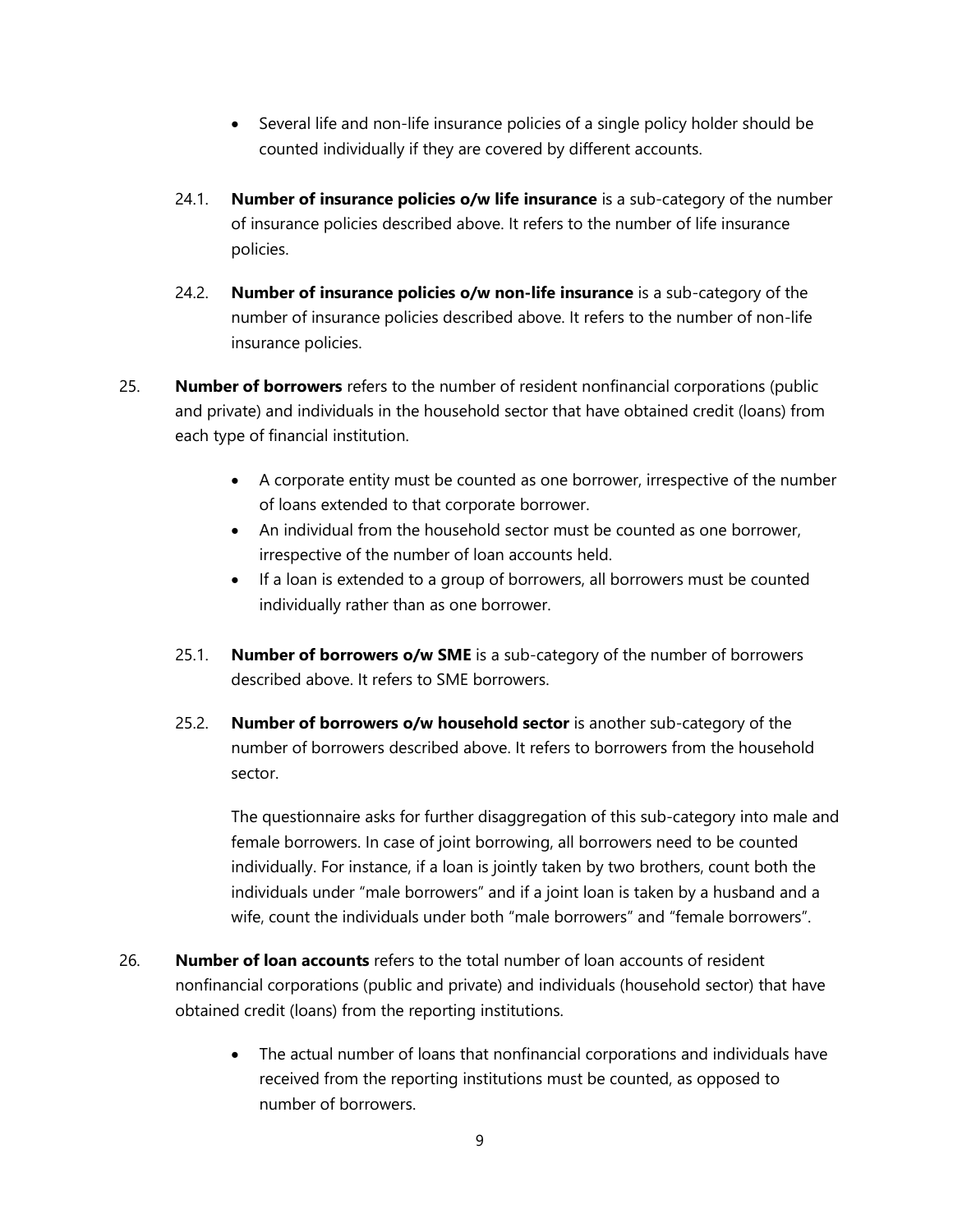- Several life and non-life insurance policies of a single policy holder should be counted individually if they are covered by different accounts.
- 24.1. **Number of insurance policies o/w life insurance** is a sub-category of the number of insurance policies described above. It refers to the number of life insurance policies.
- 24.2. **Number of insurance policies o/w non-life insurance** is a sub-category of the number of insurance policies described above. It refers to the number of non-life insurance policies.
- 25. **Number of borrowers** refers to the number of resident nonfinancial corporations (public and private) and individuals in the household sector that have obtained credit (loans) from each type of financial institution.
	- A corporate entity must be counted as one borrower, irrespective of the number of loans extended to that corporate borrower.
	- An individual from the household sector must be counted as one borrower, irrespective of the number of loan accounts held.
	- If a loan is extended to a group of borrowers, all borrowers must be counted individually rather than as one borrower.
	- 25.1. **Number of borrowers o/w SME** is a sub-category of the number of borrowers described above. It refers to SME borrowers.
	- 25.2. **Number of borrowers o/w household sector** is another sub-category of the number of borrowers described above. It refers to borrowers from the household sector.

The questionnaire asks for further disaggregation of this sub-category into male and female borrowers. In case of joint borrowing, all borrowers need to be counted individually. For instance, if a loan is jointly taken by two brothers, count both the individuals under "male borrowers" and if a joint loan is taken by a husband and a wife, count the individuals under both "male borrowers" and "female borrowers".

- 26. **Number of loan accounts** refers to the total number of loan accounts of resident nonfinancial corporations (public and private) and individuals (household sector) that have obtained credit (loans) from the reporting institutions.
	- The actual number of loans that nonfinancial corporations and individuals have received from the reporting institutions must be counted, as opposed to number of borrowers.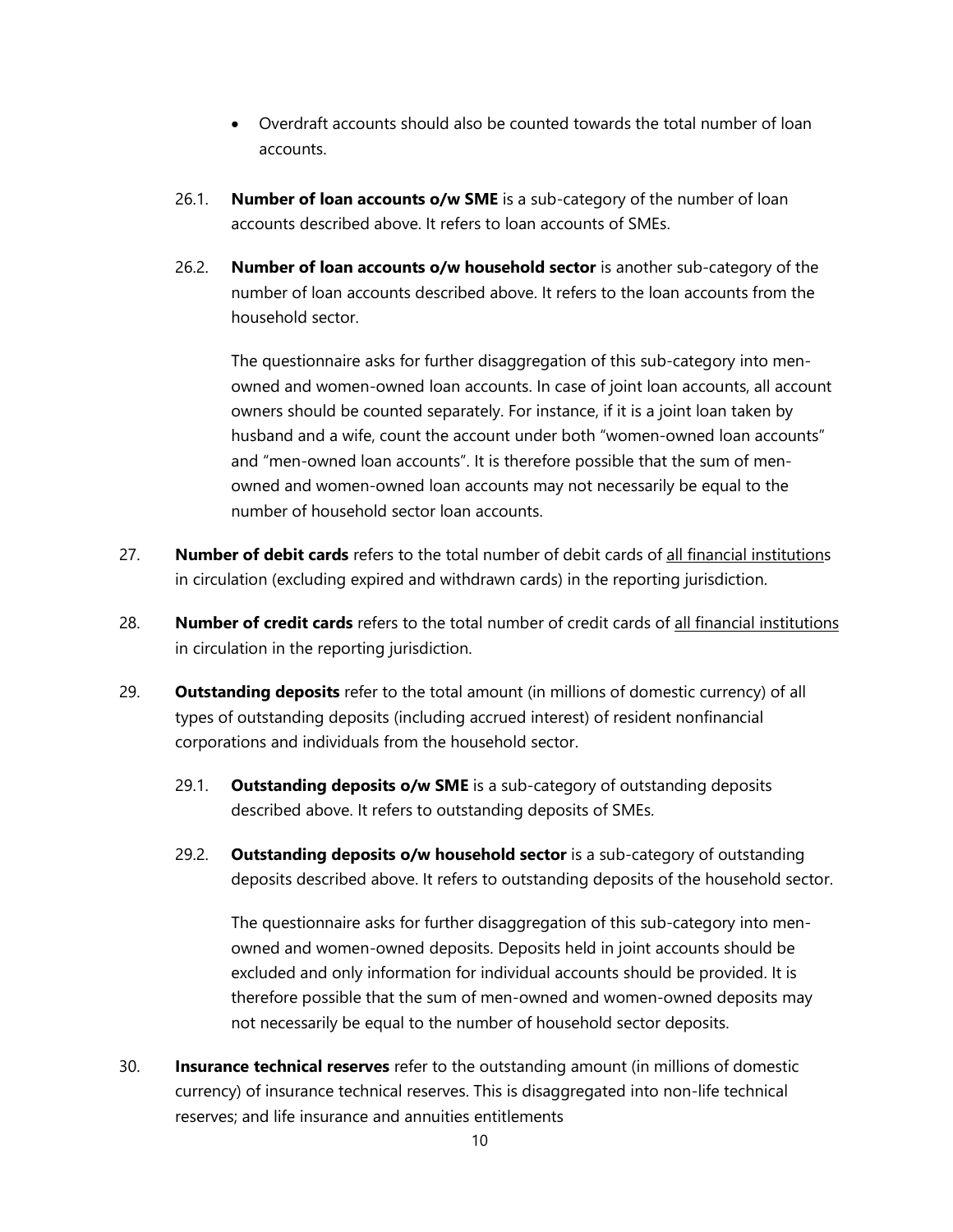- Overdraft accounts should also be counted towards the total number of loan accounts.
- 26.1. **Number of loan accounts o/w SME** is a sub-category of the number of loan accounts described above. It refers to loan accounts of SMEs.
- 26.2. **Number of loan accounts o/w household sector** is another sub-category of the number of loan accounts described above. It refers to the loan accounts from the household sector.

The questionnaire asks for further disaggregation of this sub-category into menowned and women-owned loan accounts. In case of joint loan accounts, all account owners should be counted separately. For instance, if it is a joint loan taken by husband and a wife, count the account under both "women-owned loan accounts" and "men-owned loan accounts". It is therefore possible that the sum of menowned and women-owned loan accounts may not necessarily be equal to the number of household sector loan accounts.

- 27. **Number of debit cards** refers to the total number of debit cards of all financial institutions in circulation (excluding expired and withdrawn cards) in the reporting jurisdiction.
- 28. **Number of credit cards** refers to the total number of credit cards of all financial institutions in circulation in the reporting jurisdiction.
- 29. **Outstanding deposits** refer to the total amount (in millions of domestic currency) of all types of outstanding deposits (including accrued interest) of resident nonfinancial corporations and individuals from the household sector.
	- 29.1. **Outstanding deposits o/w SME** is a sub-category of outstanding deposits described above. It refers to outstanding deposits of SMEs.
	- 29.2. **Outstanding deposits o/w household sector** is a sub-category of outstanding deposits described above. It refers to outstanding deposits of the household sector.

The questionnaire asks for further disaggregation of this sub-category into menowned and women-owned deposits. Deposits held in joint accounts should be excluded and only information for individual accounts should be provided. It is therefore possible that the sum of men-owned and women-owned deposits may not necessarily be equal to the number of household sector deposits.

30. **Insurance technical reserves** refer to the outstanding amount (in millions of domestic currency) of insurance technical reserves. This is disaggregated into non-life technical reserves; and life insurance and annuities entitlements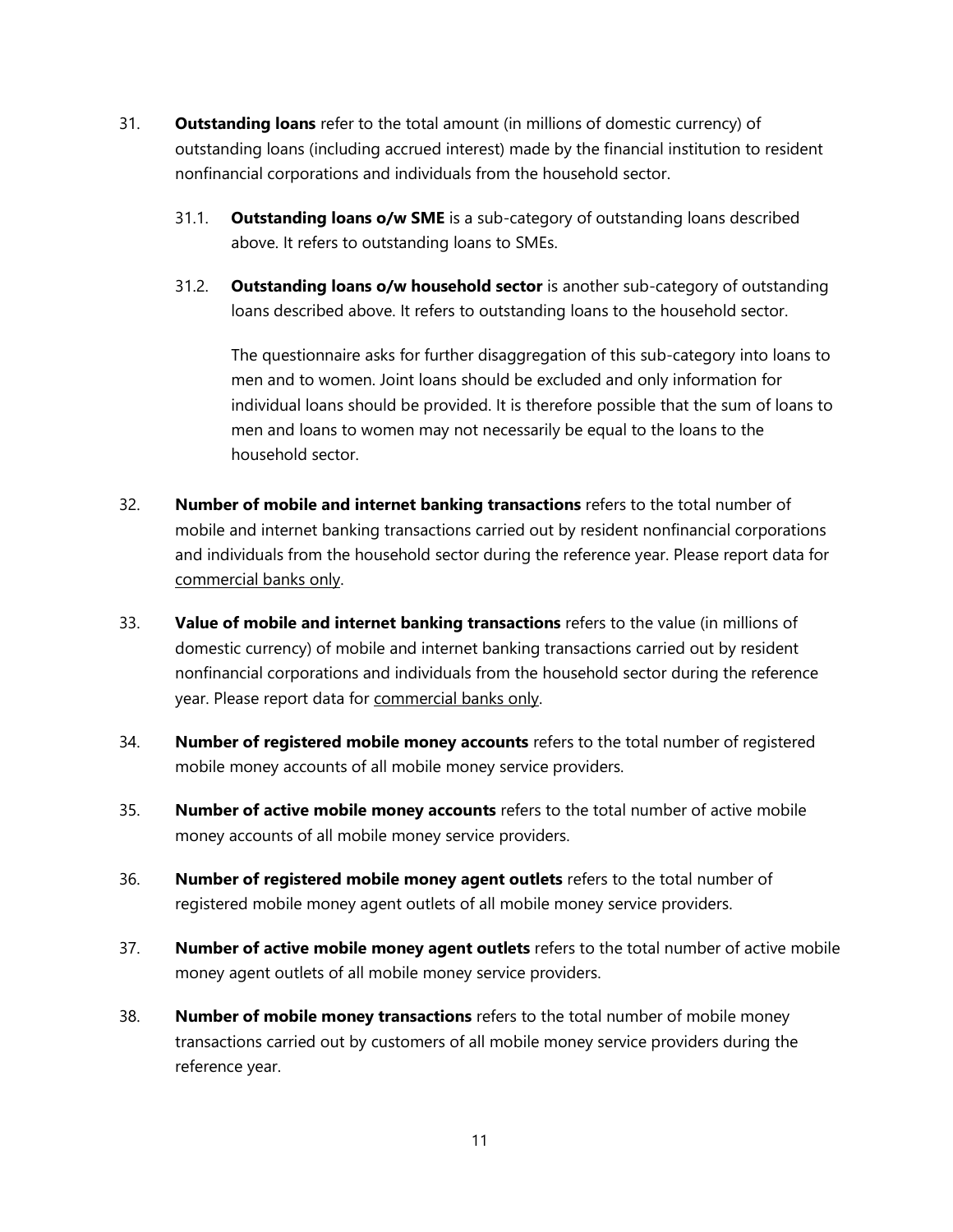- 31. **Outstanding loans** refer to the total amount (in millions of domestic currency) of outstanding loans (including accrued interest) made by the financial institution to resident nonfinancial corporations and individuals from the household sector.
	- 31.1. **Outstanding loans o/w SME** is a sub-category of outstanding loans described above. It refers to outstanding loans to SMEs.
	- 31.2. **Outstanding loans o/w household sector** is another sub-category of outstanding loans described above. It refers to outstanding loans to the household sector.

The questionnaire asks for further disaggregation of this sub-category into loans to men and to women. Joint loans should be excluded and only information for individual loans should be provided. It is therefore possible that the sum of loans to men and loans to women may not necessarily be equal to the loans to the household sector.

- 32. **Number of mobile and internet banking transactions** refers to the total number of mobile and internet banking transactions carried out by resident nonfinancial corporations and individuals from the household sector during the reference year. Please report data for commercial banks only.
- 33. **Value of mobile and internet banking transactions** refers to the value (in millions of domestic currency) of mobile and internet banking transactions carried out by resident nonfinancial corporations and individuals from the household sector during the reference year. Please report data for commercial banks only.
- 34. **Number of registered mobile money accounts** refers to the total number of registered mobile money accounts of all mobile money service providers.
- 35. **Number of active mobile money accounts** refers to the total number of active mobile money accounts of all mobile money service providers.
- 36. **Number of registered mobile money agent outlets** refers to the total number of registered mobile money agent outlets of all mobile money service providers.
- 37. **Number of active mobile money agent outlets** refers to the total number of active mobile money agent outlets of all mobile money service providers.
- 38. **Number of mobile money transactions** refers to the total number of mobile money transactions carried out by customers of all mobile money service providers during the reference year.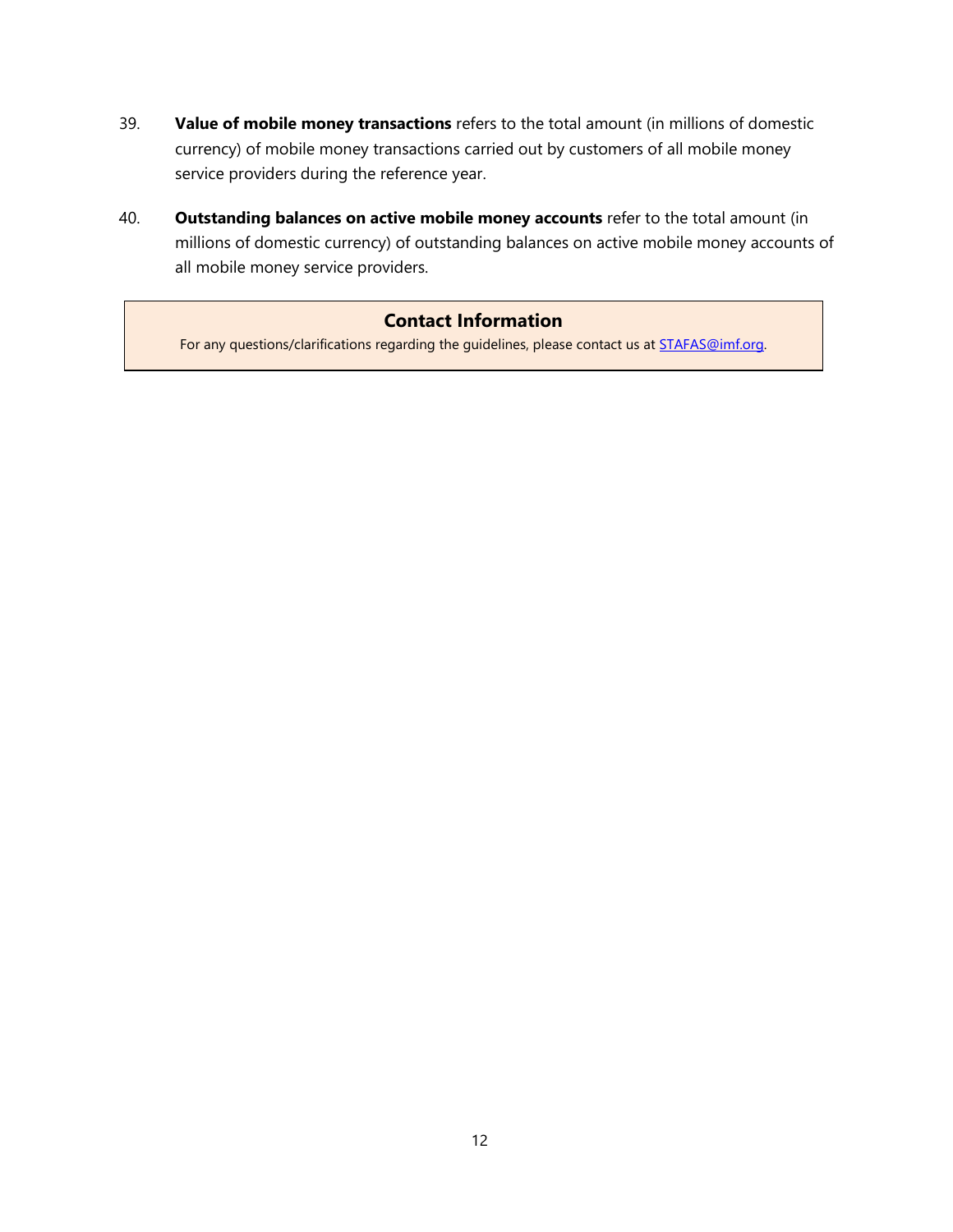- 39. **Value of mobile money transactions** refers to the total amount (in millions of domestic currency) of mobile money transactions carried out by customers of all mobile money service providers during the reference year.
- 40. **Outstanding balances on active mobile money accounts** refer to the total amount (in millions of domestic currency) of outstanding balances on active mobile money accounts of all mobile money service providers.

# **Contact Information**

For any questions/clarifications regarding the guidelines, please contact us at **STAFAS@imf.org**.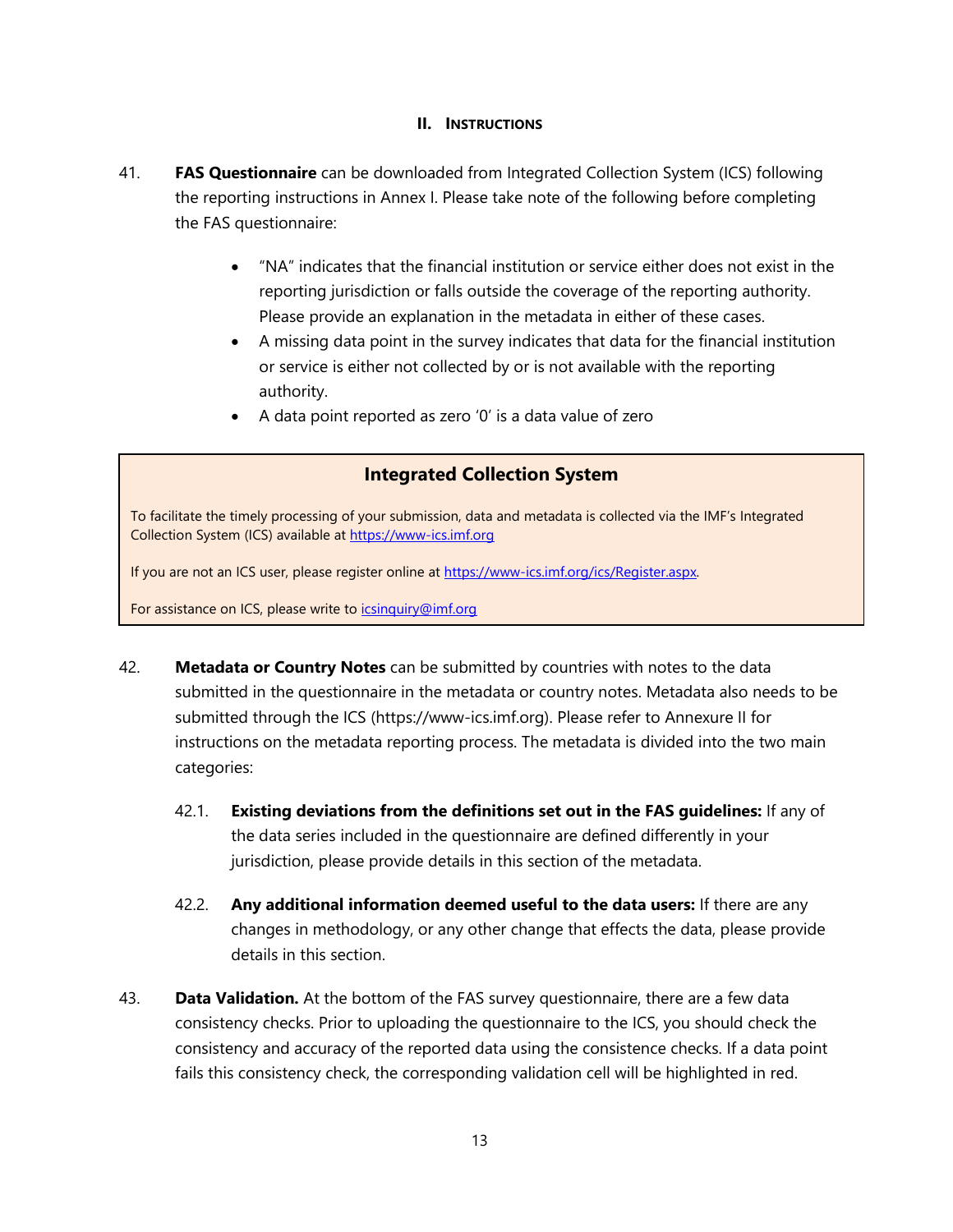#### **II. INSTRUCTIONS**

- 41. **FAS Questionnaire** can be downloaded from Integrated Collection System (ICS) following the reporting instructions in Annex I. Please take note of the following before completing the FAS questionnaire:
	- "NA" indicates that the financial institution or service either does not exist in the reporting jurisdiction or falls outside the coverage of the reporting authority. Please provide an explanation in the metadata in either of these cases.
	- A missing data point in the survey indicates that data for the financial institution or service is either not collected by or is not available with the reporting authority.
	- A data point reported as zero '0' is a data value of zero

# **Integrated Collection System**

To facilitate the timely processing of your submission, data and metadata is collected via the IMF's Integrated Collection System (ICS) available at [https://www-ics.imf.org](https://www-ics.imf.org/)

If you are not an ICS user, please register online at https://www-ics.imf.org/ics/Register.aspx.

For assistance on ICS, please write to [icsinquiry@imf.org](mailto:icsinquiry@imf.org)

- 42. **Metadata or Country Notes** can be submitted by countries with notes to the data submitted in the questionnaire in the metadata or country notes. Metadata also needs to be submitted through the ICS (https://www-ics.imf.org). Please refer to Annexure II for instructions on the metadata reporting process. The metadata is divided into the two main categories:
	- 42.1. **Existing deviations from the definitions set out in the FAS guidelines:** If any of the data series included in the questionnaire are defined differently in your jurisdiction, please provide details in this section of the metadata.
	- 42.2. **Any additional information deemed useful to the data users:** If there are any changes in methodology, or any other change that effects the data, please provide details in this section.
- 43. **Data Validation.** At the bottom of the FAS survey questionnaire, there are a few data consistency checks. Prior to uploading the questionnaire to the ICS, you should check the consistency and accuracy of the reported data using the consistence checks. If a data point fails this consistency check, the corresponding validation cell will be highlighted in red.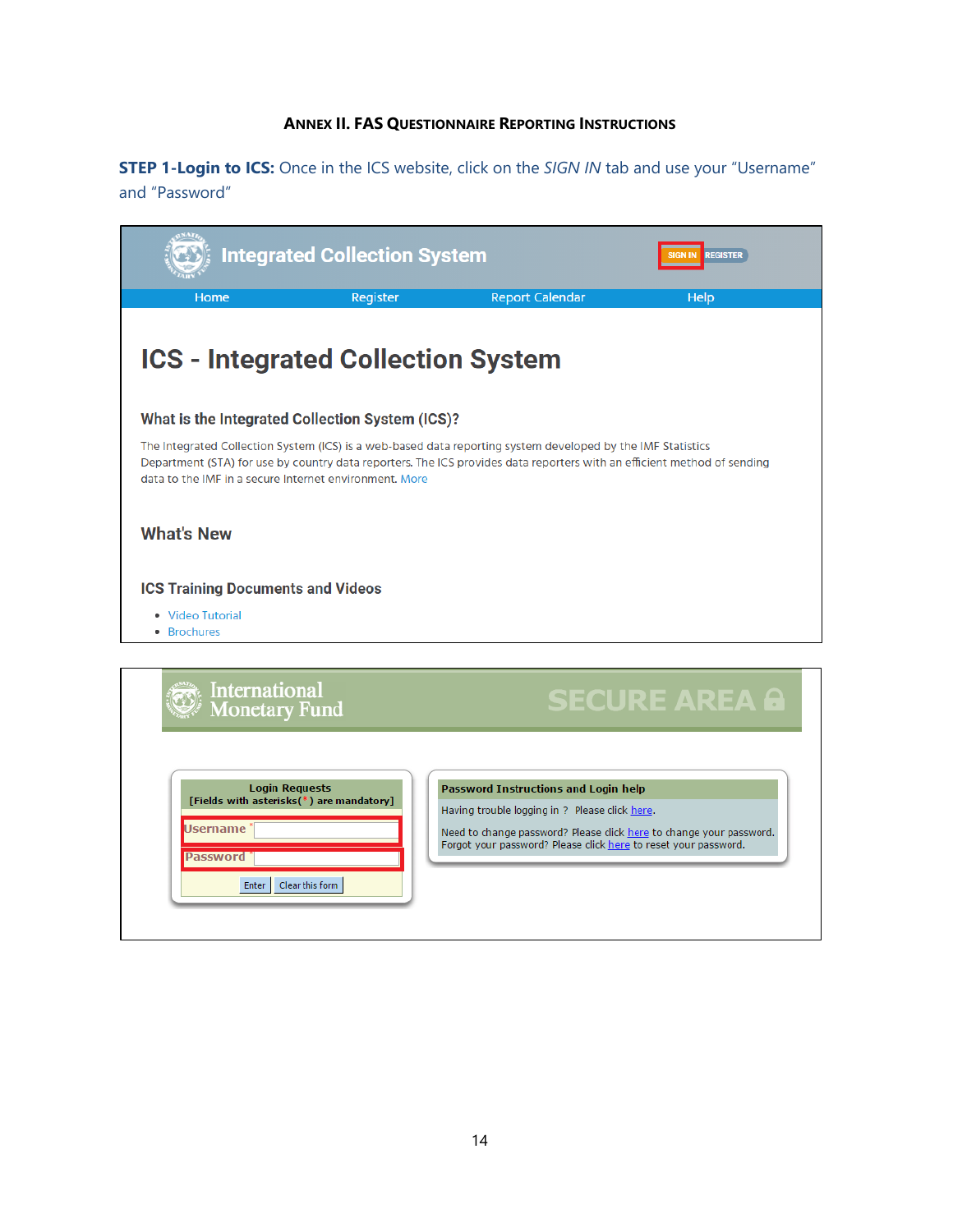## **ANNEX II. FAS QUESTIONNAIRE REPORTING INSTRUCTIONS**

**STEP 1-Login to ICS:** Once in the ICS website, click on the SIGN IN tab and use your "Username" and "Password"

|                                                                                                           | <b>Integrated Collection System</b> |                                                                                                                                                           | <b>REGISTER</b>                                                                                                         |
|-----------------------------------------------------------------------------------------------------------|-------------------------------------|-----------------------------------------------------------------------------------------------------------------------------------------------------------|-------------------------------------------------------------------------------------------------------------------------|
| Home                                                                                                      | Register                            | <b>Report Calendar</b>                                                                                                                                    | Help                                                                                                                    |
| <b>ICS - Integrated Collection System</b>                                                                 |                                     |                                                                                                                                                           |                                                                                                                         |
| What is the Integrated Collection System (ICS)?                                                           |                                     |                                                                                                                                                           |                                                                                                                         |
| data to the IMF in a secure Internet environment. More                                                    |                                     | The Integrated Collection System (ICS) is a web-based data reporting system developed by the IMF Statistics                                               | Department (STA) for use by country data reporters. The ICS provides data reporters with an efficient method of sending |
| <b>What's New</b>                                                                                         |                                     |                                                                                                                                                           |                                                                                                                         |
| <b>ICS Training Documents and Videos</b>                                                                  |                                     |                                                                                                                                                           |                                                                                                                         |
| • Video Tutorial<br>• Brochures                                                                           |                                     |                                                                                                                                                           |                                                                                                                         |
|                                                                                                           |                                     |                                                                                                                                                           |                                                                                                                         |
| International<br><b>Monetary Fund</b>                                                                     |                                     |                                                                                                                                                           | <b>SECURE AREA &amp;</b>                                                                                                |
| <b>Login Requests</b><br>[Fields with asterisks(*) are mandatory]<br>Jsername<br><b>Password</b><br>Enter | Clear this form                     | Password Instructions and Login help<br>Having trouble logging in ? Please click here.<br>Forgot your password? Please click here to reset your password. | Need to change password? Please click here to change your password.                                                     |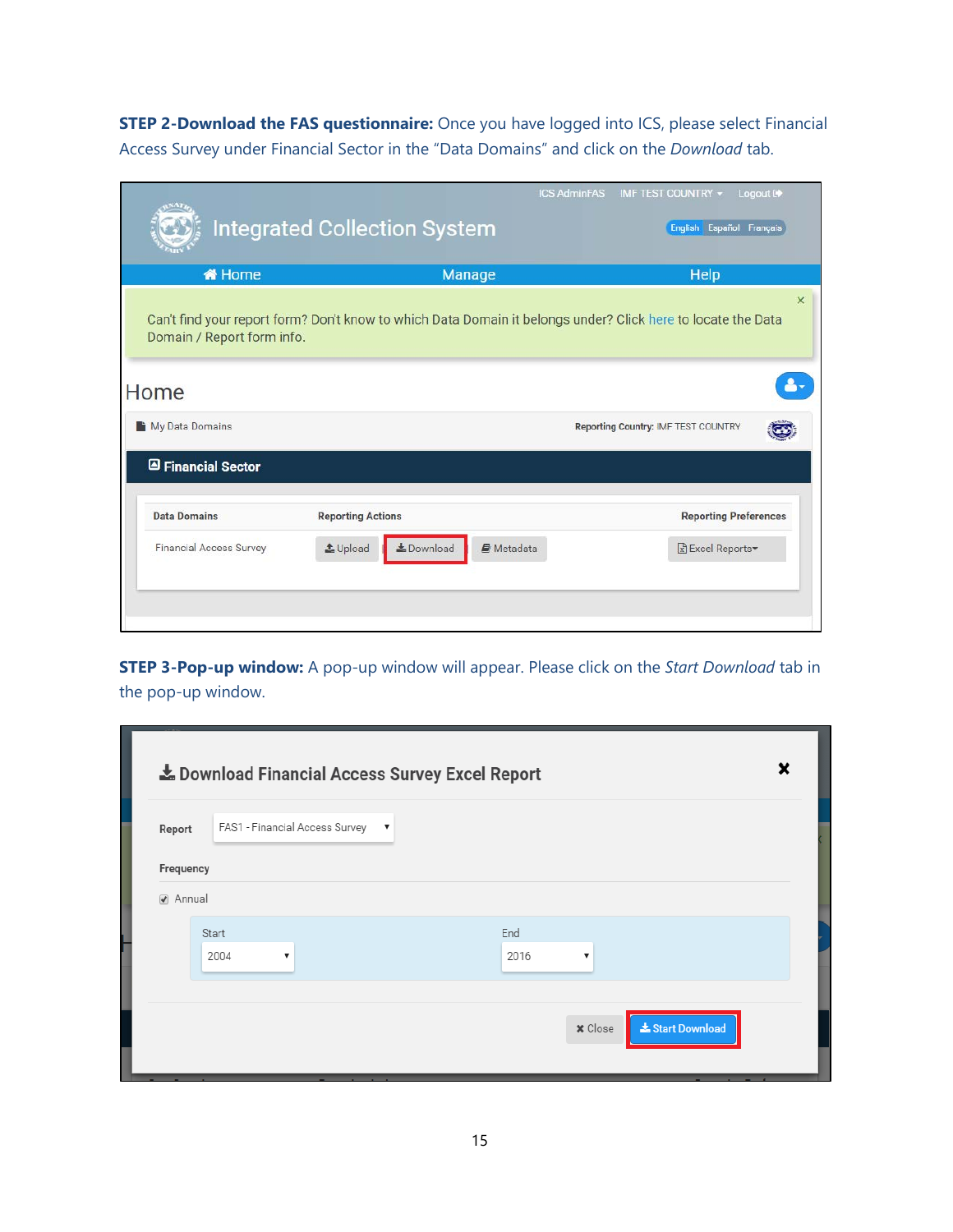**STEP 2-Download the FAS questionnaire:** Once you have logged into ICS, please select Financial Access Survey under Financial Sector in the "Data Domains" and click on the *Download* tab.

|                                | <b>Integrated Collection System</b>                                                                          | <b>ICS AdminFAS</b><br>IMF TEST COUNTRY -<br>Logout <sup>(+</sup><br>English Español Français |
|--------------------------------|--------------------------------------------------------------------------------------------------------------|-----------------------------------------------------------------------------------------------|
| <b>W</b> Home                  | <b>Manage</b>                                                                                                | Help                                                                                          |
| Domain / Report form info.     | Can't find your report form? Don't know to which Data Domain it belongs under? Click here to locate the Data | $\times$                                                                                      |
| Home                           |                                                                                                              |                                                                                               |
| My Data Domains                |                                                                                                              | Reporting Country: IMF TEST COUNTRY                                                           |
| <b>A</b> Financial Sector      |                                                                                                              |                                                                                               |
| <b>Data Domains</b>            | <b>Reporting Actions</b>                                                                                     | <b>Reporting Preferences</b>                                                                  |
| <b>Financial Access Survey</b> | <b>L</b> Download<br>LUpload<br>Metadata                                                                     | Excel Reports                                                                                 |
|                                |                                                                                                              |                                                                                               |

**STEP 3-Pop-up window:** A pop-up window will appear. Please click on the *Start Download* tab in the pop-up window.

| FAS1 - Financial Access Survey<br>Report | $\;$ $\;$ |           |  |
|------------------------------------------|-----------|-----------|--|
| Frequency                                |           |           |  |
| Annual                                   |           |           |  |
| Start                                    |           | End       |  |
| 2004<br>$\boldsymbol{\mathrm{v}}$        |           | 2016<br>▼ |  |
|                                          |           |           |  |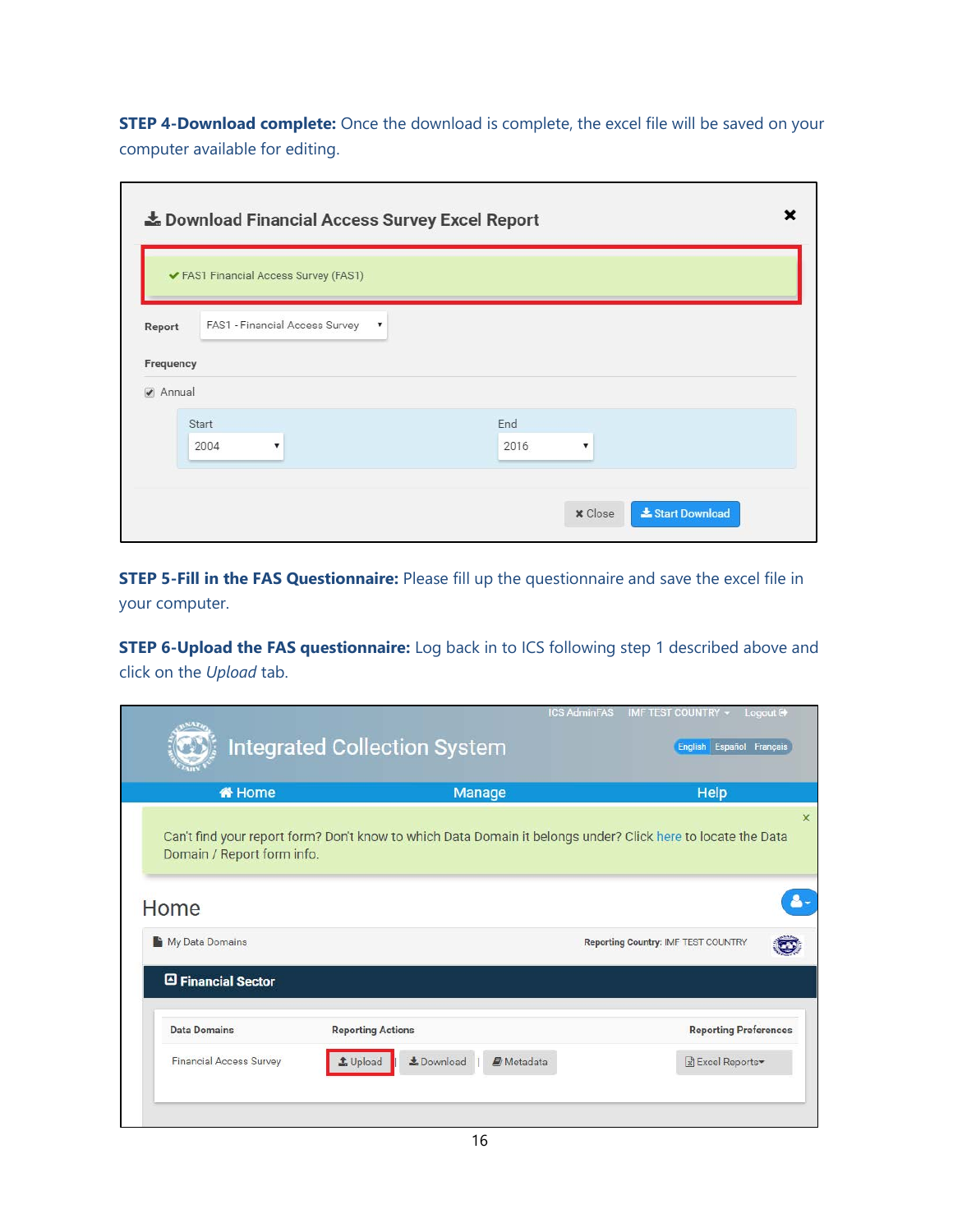**STEP 4-Download complete:** Once the download is complete, the excel file will be saved on your computer available for editing.

 $\blacksquare$ 

|                     |               | ✔ FAS1 Financial Access Survey (FAS1)                     | Le Download Financial Access Survey Excel Report |                |
|---------------------|---------------|-----------------------------------------------------------|--------------------------------------------------|----------------|
| Report<br>Frequency |               | FAS1 - Financial Access Survey<br>$\overline{\mathbf{v}}$ |                                                  |                |
| Annual              | Start<br>2004 | v                                                         | End<br>2016<br>۷                                 |                |
|                     |               |                                                           | <b>x</b> Close                                   | Start Download |

**STEP 5-Fill in the FAS Questionnaire:** Please fill up the questionnaire and save the excel file in your computer.

**STEP 6-Upload the FAS questionnaire:** Log back in to ICS following step 1 described above and click on the *Upload* tab.

| <b>备 Home</b>              | <b>Manage</b>                                                                                                | Help                                |
|----------------------------|--------------------------------------------------------------------------------------------------------------|-------------------------------------|
| Domain / Report form info. | Can't find your report form? Don't know to which Data Domain it belongs under? Click here to locate the Data |                                     |
| Home                       |                                                                                                              |                                     |
| My Data Domains            |                                                                                                              | Reporting Country: IMF TEST COUNTRY |
| Financial Sector           |                                                                                                              |                                     |
|                            |                                                                                                              | <b>Reporting Preferences</b>        |
| <b>Data Domains</b>        | <b>Reporting Actions</b>                                                                                     |                                     |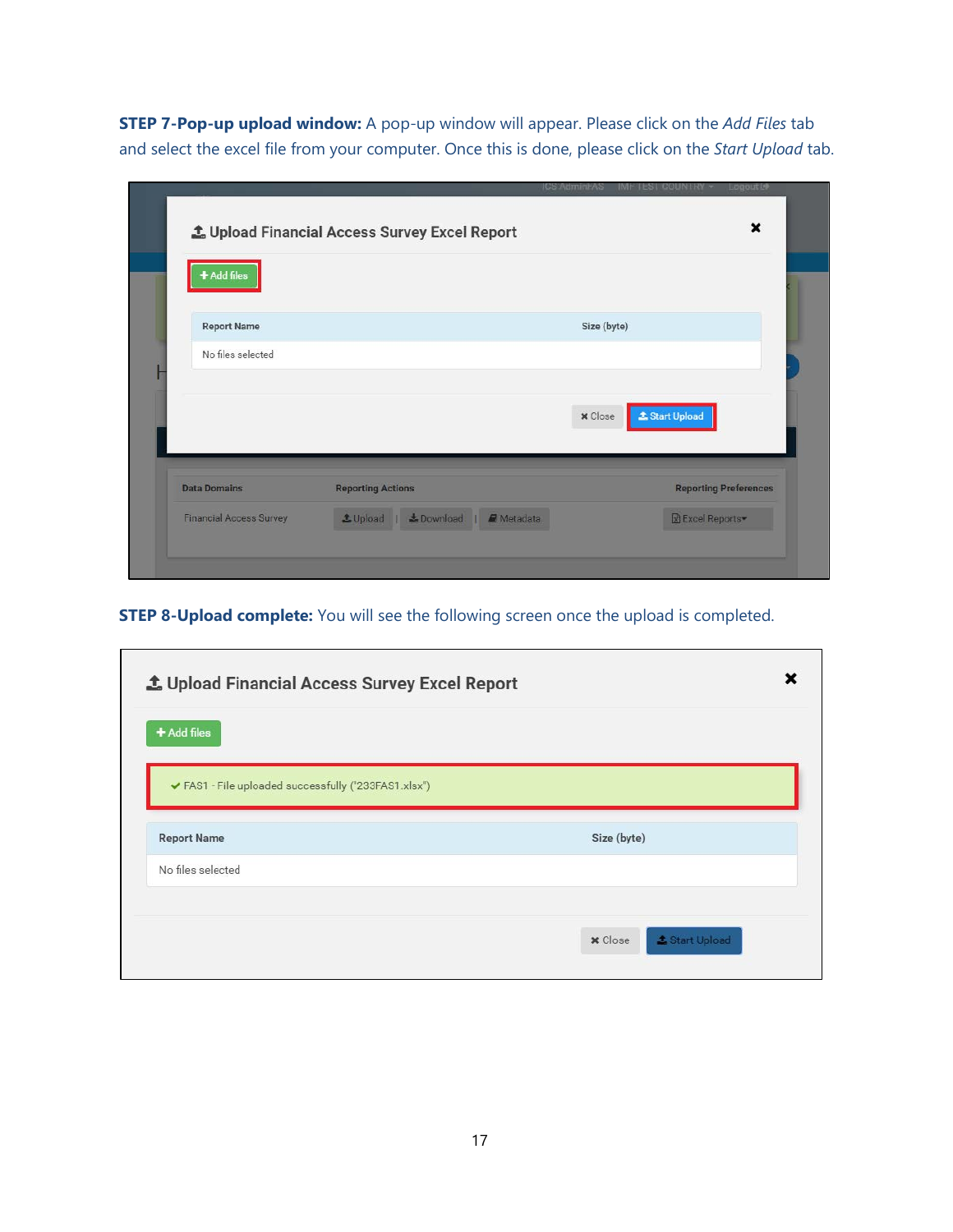**STEP 7-Pop-up upload window:** A pop-up window will appear. Please click on the *Add Files* tab and select the excel file from your computer. Once this is done, please click on the *Start Upload* tab.

| + Add files         |                          |                                         |
|---------------------|--------------------------|-----------------------------------------|
|                     |                          |                                         |
| <b>Report Name</b>  |                          | Size (byte)                             |
| No files selected   |                          |                                         |
|                     |                          |                                         |
|                     |                          |                                         |
|                     |                          | <b>1</b> Start Upload<br><b>x</b> Close |
|                     |                          |                                         |
|                     |                          |                                         |
|                     | <b>Reporting Actions</b> | <b>Reporting Preferences</b>            |
| <b>Data Domains</b> |                          |                                         |

**STEP 8-Upload complete:** You will see the following screen once the upload is completed.

 $\overline{\phantom{0}}$ 

| $+$ Add files                                        |             |
|------------------------------------------------------|-------------|
| ✔ FAS1 - File uploaded successfully ("233FAS1.xlsx") |             |
| <b>Report Name</b>                                   | Size (byte) |
| No files selected                                    |             |
|                                                      |             |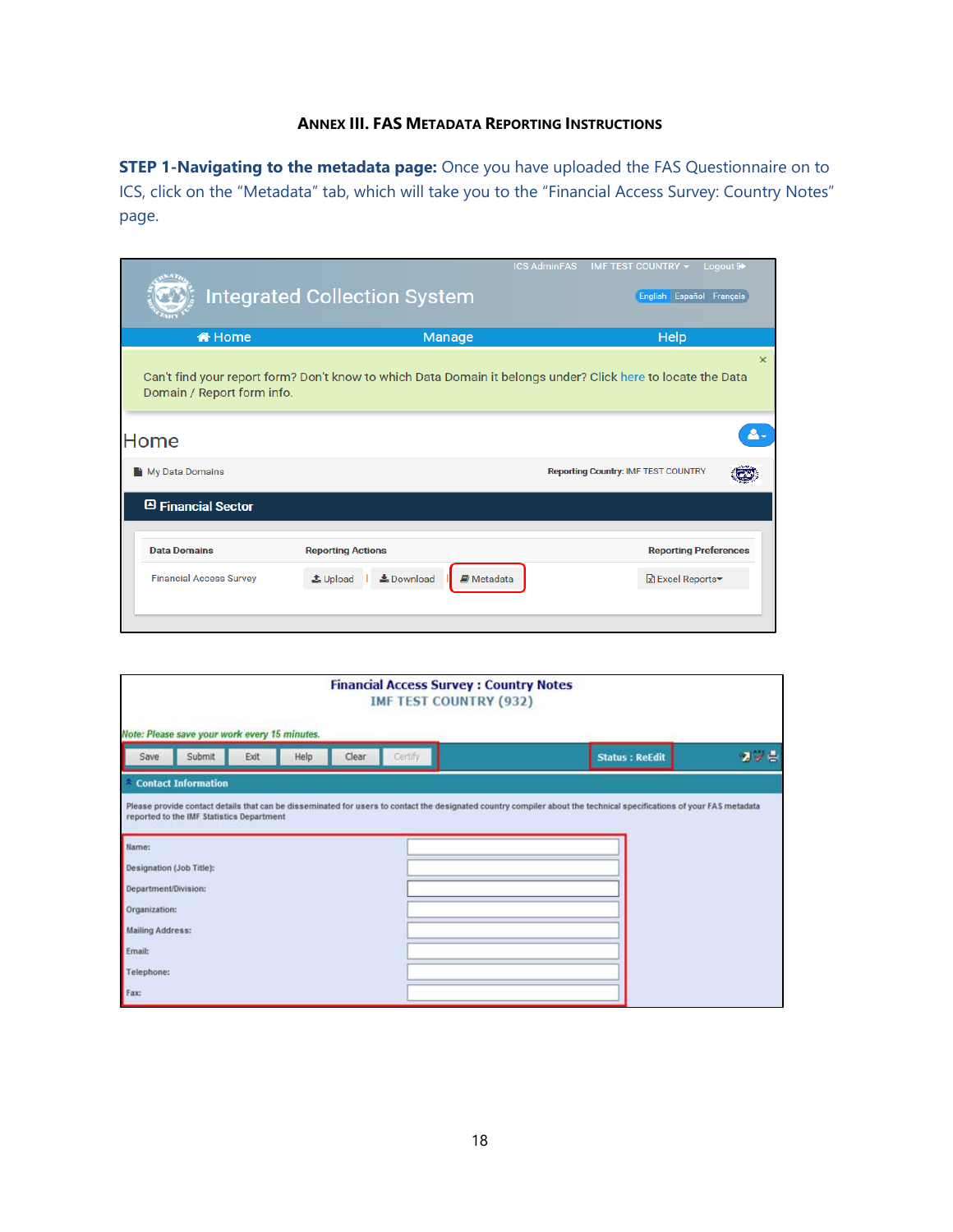### **ANNEX III. FAS METADATA REPORTING INSTRUCTIONS**

**STEP 1-Navigating to the metadata page:** Once you have uploaded the FAS Questionnaire on to ICS, click on the "Metadata" tab, which will take you to the "Financial Access Survey: Country Notes" page.

|                                | <b>Integrated Collection System</b>                          | <b>ICS AdminFAS</b><br>IMF TEST COUNTRY ▼ Logout D<br>English Español Français                                                        |
|--------------------------------|--------------------------------------------------------------|---------------------------------------------------------------------------------------------------------------------------------------|
| <b>«</b> Nome                  | Manage                                                       | Help                                                                                                                                  |
| Domain / Report form info.     |                                                              | $\mathsf{\mathsf{x}}$<br>Can't find your report form? Don't know to which Data Domain it belongs under? Click here to locate the Data |
| Home                           |                                                              | Д.                                                                                                                                    |
| My Data Domains                |                                                              | <b>Reporting Country: IMF TEST COUNTRY</b>                                                                                            |
| □ Financial Sector             |                                                              |                                                                                                                                       |
| <b>Data Domains</b>            | <b>Reporting Actions</b>                                     | <b>Reporting Preferences</b>                                                                                                          |
| <b>Financial Access Survey</b> | <b>≛</b> Download<br><b>D</b> Metadata<br>$\triangle$ Upload | <b>R</b> Excel Reports▼                                                                                                               |
|                                |                                                              |                                                                                                                                       |

| <b>Financial Access Survey: Country Notes</b><br><b>IMF TEST COUNTRY (932)</b><br>Note: Please save your work every 15 minutes.                                                    |      |      |       |         |                                                                                                                                                                      |                       |         |
|------------------------------------------------------------------------------------------------------------------------------------------------------------------------------------|------|------|-------|---------|----------------------------------------------------------------------------------------------------------------------------------------------------------------------|-----------------------|---------|
| Submit<br>Save                                                                                                                                                                     | Exit | Help | Clear | Certify |                                                                                                                                                                      | <b>Status: ReEdit</b> | $2 - 5$ |
| Contact Information                                                                                                                                                                |      |      |       |         |                                                                                                                                                                      |                       |         |
| reported to the IMF Statistics Department<br>Name:<br>Designation (Job Title):<br>Department/Division:<br>Organization:<br><b>Mailing Address:</b><br>Email:<br>Telephone:<br>Fax: |      |      |       |         | Please provide contact details that can be disseminated for users to contact the designated country compiler about the technical specifications of your FAS metadata |                       |         |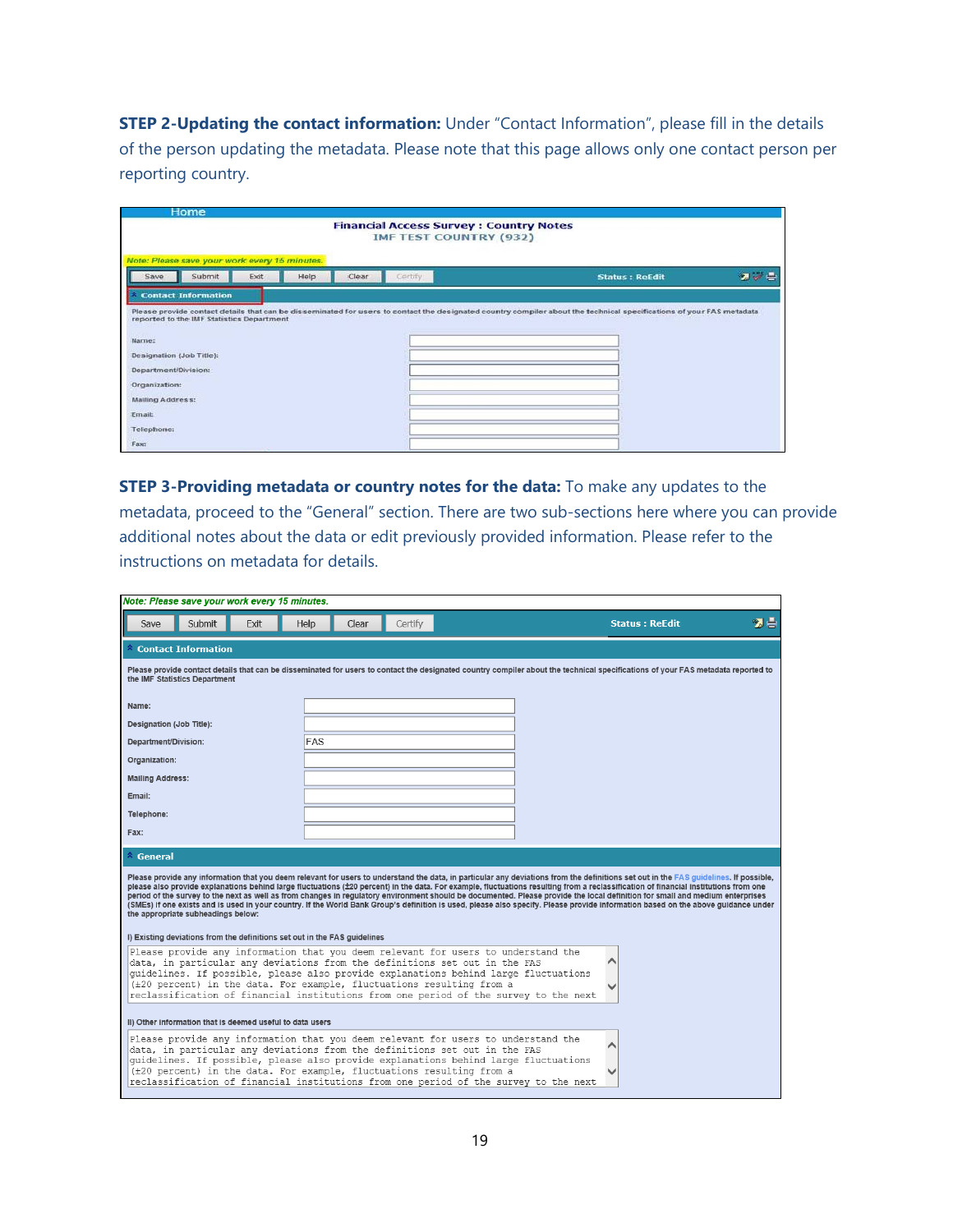**STEP 2-Updating the contact information:** Under "Contact Information", please fill in the details of the person updating the metadata. Please note that this page allows only one contact person per reporting country.

| Home                                               |                                                                                 |                                                                                                                                                                      |     |
|----------------------------------------------------|---------------------------------------------------------------------------------|----------------------------------------------------------------------------------------------------------------------------------------------------------------------|-----|
|                                                    | <b>Financial Access Survey : Country Notes</b><br><b>IMF TEST COUNTRY (932)</b> |                                                                                                                                                                      |     |
| Note: Please save your work every 15 minutes.      |                                                                                 |                                                                                                                                                                      |     |
| Submit<br>Help<br>Exit<br>Save                     | Certify<br>Clear                                                                | <b>Status: ReEdit</b>                                                                                                                                                | 医学会 |
| <b>Contact Information</b>                         |                                                                                 |                                                                                                                                                                      |     |
| reported to the IMF Statistics Department<br>Name: |                                                                                 | Please provide contact details that can be disseminated for users to contact the designated country compiler about the technical specifications of your FAS metadata |     |
| Designation (Job Title):                           |                                                                                 |                                                                                                                                                                      |     |
| Department/Division:                               |                                                                                 |                                                                                                                                                                      |     |
| Organization:                                      |                                                                                 |                                                                                                                                                                      |     |
| Mailing Address:                                   |                                                                                 |                                                                                                                                                                      |     |
| Email:                                             |                                                                                 |                                                                                                                                                                      |     |
| Telephone:                                         |                                                                                 |                                                                                                                                                                      |     |
| Fax:                                               |                                                                                 |                                                                                                                                                                      |     |

**STEP 3-Providing metadata or country notes for the data:** To make any updates to the metadata, proceed to the "General" section. There are two sub-sections here where you can provide additional notes about the data or edit previously provided information. Please refer to the instructions on metadata for details.

| Note: Please save your work every 15 minutes.                                                                                                                                                                                                                                                                                                                                                                                                                                                                                                                                                                                                                                                                                                                                             |               |         |  |                       |    |  |  |  |  |
|-------------------------------------------------------------------------------------------------------------------------------------------------------------------------------------------------------------------------------------------------------------------------------------------------------------------------------------------------------------------------------------------------------------------------------------------------------------------------------------------------------------------------------------------------------------------------------------------------------------------------------------------------------------------------------------------------------------------------------------------------------------------------------------------|---------------|---------|--|-----------------------|----|--|--|--|--|
| Submit<br>Exit<br>Save                                                                                                                                                                                                                                                                                                                                                                                                                                                                                                                                                                                                                                                                                                                                                                    | Help<br>Clear | Certify |  | <b>Status: ReEdit</b> | 切書 |  |  |  |  |
| $^{\wedge}$ Contact Information                                                                                                                                                                                                                                                                                                                                                                                                                                                                                                                                                                                                                                                                                                                                                           |               |         |  |                       |    |  |  |  |  |
| Please provide contact details that can be disseminated for users to contact the designated country compiler about the technical specifications of your FAS metadata reported to<br>the IMF Statistics Department                                                                                                                                                                                                                                                                                                                                                                                                                                                                                                                                                                         |               |         |  |                       |    |  |  |  |  |
| Name:                                                                                                                                                                                                                                                                                                                                                                                                                                                                                                                                                                                                                                                                                                                                                                                     |               |         |  |                       |    |  |  |  |  |
| Designation (Job Title):                                                                                                                                                                                                                                                                                                                                                                                                                                                                                                                                                                                                                                                                                                                                                                  |               |         |  |                       |    |  |  |  |  |
| Department/Division:                                                                                                                                                                                                                                                                                                                                                                                                                                                                                                                                                                                                                                                                                                                                                                      | <b>FAS</b>    |         |  |                       |    |  |  |  |  |
| Organization:                                                                                                                                                                                                                                                                                                                                                                                                                                                                                                                                                                                                                                                                                                                                                                             |               |         |  |                       |    |  |  |  |  |
| <b>Mailing Address:</b>                                                                                                                                                                                                                                                                                                                                                                                                                                                                                                                                                                                                                                                                                                                                                                   |               |         |  |                       |    |  |  |  |  |
| Email:                                                                                                                                                                                                                                                                                                                                                                                                                                                                                                                                                                                                                                                                                                                                                                                    |               |         |  |                       |    |  |  |  |  |
| Telephone:                                                                                                                                                                                                                                                                                                                                                                                                                                                                                                                                                                                                                                                                                                                                                                                |               |         |  |                       |    |  |  |  |  |
| Fax:                                                                                                                                                                                                                                                                                                                                                                                                                                                                                                                                                                                                                                                                                                                                                                                      |               |         |  |                       |    |  |  |  |  |
| $\hat{ }$ General                                                                                                                                                                                                                                                                                                                                                                                                                                                                                                                                                                                                                                                                                                                                                                         |               |         |  |                       |    |  |  |  |  |
| Please provide any information that you deem relevant for users to understand the data, in particular any deviations from the definitions set out in the FAS guidelines. If possible,<br>please also provide explanations behind large fluctuations (±20 percent) in the data. For example, fluctuations resulting from a reclassification of financial institutions from one<br>period of the survey to the next as well as from changes in regulatory environment should be documented. Please provide the local definition for small and medium enterprises<br>(SMEs) if one exists and is used in your country. If the World Bank Group's definition is used, please also specify. Please provide information based on the above guidance under<br>the appropriate subheadings below: |               |         |  |                       |    |  |  |  |  |
| I) Existing deviations from the definitions set out in the FAS guidelines                                                                                                                                                                                                                                                                                                                                                                                                                                                                                                                                                                                                                                                                                                                 |               |         |  |                       |    |  |  |  |  |
| Please provide any information that you deem relevant for users to understand the<br>data, in particular any deviations from the definitions set out in the FAS<br>quidelines. If possible, please also provide explanations behind large fluctuations                                                                                                                                                                                                                                                                                                                                                                                                                                                                                                                                    |               |         |  |                       |    |  |  |  |  |
| (±20 percent) in the data. For example, fluctuations resulting from a<br>reclassification of financial institutions from one period of the survey to the next                                                                                                                                                                                                                                                                                                                                                                                                                                                                                                                                                                                                                             |               |         |  |                       |    |  |  |  |  |
| II) Other information that is deemed useful to data users                                                                                                                                                                                                                                                                                                                                                                                                                                                                                                                                                                                                                                                                                                                                 |               |         |  |                       |    |  |  |  |  |
| Please provide any information that you deem relevant for users to understand the<br>data, in particular any deviations from the definitions set out in the FAS                                                                                                                                                                                                                                                                                                                                                                                                                                                                                                                                                                                                                           |               |         |  |                       |    |  |  |  |  |
| quidelines. If possible, please also provide explanations behind large fluctuations<br>(±20 percent) in the data. For example, fluctuations resulting from a<br>reclassification of financial institutions from one period of the survey to the next                                                                                                                                                                                                                                                                                                                                                                                                                                                                                                                                      |               |         |  |                       |    |  |  |  |  |